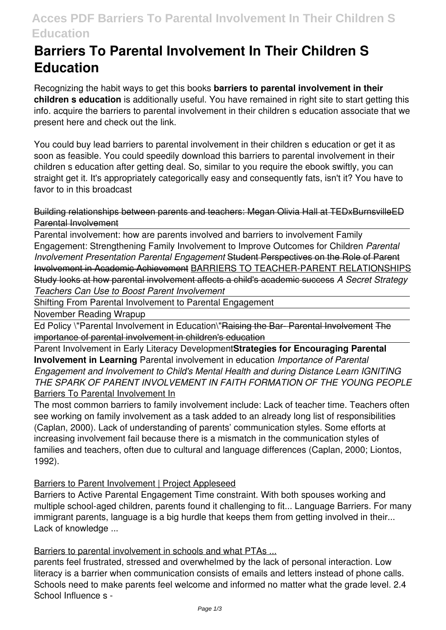# **Acces PDF Barriers To Parental Involvement In Their Children S Education**

# **Barriers To Parental Involvement In Their Children S Education**

Recognizing the habit ways to get this books **barriers to parental involvement in their children s education** is additionally useful. You have remained in right site to start getting this info. acquire the barriers to parental involvement in their children s education associate that we present here and check out the link.

You could buy lead barriers to parental involvement in their children s education or get it as soon as feasible. You could speedily download this barriers to parental involvement in their children s education after getting deal. So, similar to you require the ebook swiftly, you can straight get it. It's appropriately categorically easy and consequently fats, isn't it? You have to favor to in this broadcast

Building relationships between parents and teachers: Megan Olivia Hall at TEDxBurnsvilleED Parental Involvement

Parental involvement: how are parents involved and barriers to involvement Family Engagement: Strengthening Family Involvement to Improve Outcomes for Children *Parental Involvement Presentation Parental Engagement* Student Perspectives on the Role of Parent Involvement in Academic Achievement BARRIERS TO TEACHER-PARENT RELATIONSHIPS Study looks at how parental involvement affects a child's academic success *A Secret Strategy Teachers Can Use to Boost Parent Involvement*

Shifting From Parental Involvement to Parental Engagement

November Reading Wrapup

Ed Policy \"Parental Involvement in Education\"Raising the Bar- Parental Involvement The importance of parental involvement in children's education

Parent Involvement in Early Literacy Development**Strategies for Encouraging Parental Involvement in Learning** Parental involvement in education *Importance of Parental Engagement and Involvement to Child's Mental Health and during Distance Learn IGNITING THE SPARK OF PARENT INVOLVEMENT IN FAITH FORMATION OF THE YOUNG PEOPLE* Barriers To Parental Involvement In

The most common barriers to family involvement include: Lack of teacher time. Teachers often see working on family involvement as a task added to an already long list of responsibilities (Caplan, 2000). Lack of understanding of parents' communication styles. Some efforts at increasing involvement fail because there is a mismatch in the communication styles of families and teachers, often due to cultural and language differences (Caplan, 2000; Liontos, 1992).

# Barriers to Parent Involvement | Project Appleseed

Barriers to Active Parental Engagement Time constraint. With both spouses working and multiple school-aged children, parents found it challenging to fit... Language Barriers. For many immigrant parents, language is a big hurdle that keeps them from getting involved in their... Lack of knowledge ...

Barriers to parental involvement in schools and what PTAs ...

parents feel frustrated, stressed and overwhelmed by the lack of personal interaction. Low literacy is a barrier when communication consists of emails and letters instead of phone calls. Schools need to make parents feel welcome and informed no matter what the grade level. 2.4 School Influence s -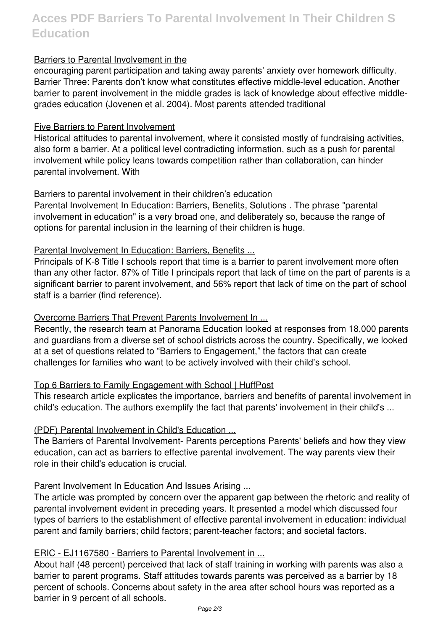# **Acces PDF Barriers To Parental Involvement In Their Children S Education**

# Barriers to Parental Involvement in the

encouraging parent participation and taking away parents' anxiety over homework difficulty. Barrier Three: Parents don't know what constitutes effective middle-level education. Another barrier to parent involvement in the middle grades is lack of knowledge about effective middlegrades education (Jovenen et al. 2004). Most parents attended traditional

#### Five Barriers to Parent Involvement

Historical attitudes to parental involvement, where it consisted mostly of fundraising activities, also form a barrier. At a political level contradicting information, such as a push for parental involvement while policy leans towards competition rather than collaboration, can hinder parental involvement. With

# Barriers to parental involvement in their children's education

Parental Involvement In Education: Barriers, Benefits, Solutions . The phrase "parental involvement in education" is a very broad one, and deliberately so, because the range of options for parental inclusion in the learning of their children is huge.

#### Parental Involvement In Education: Barriers, Benefits ...

Principals of K-8 Title I schools report that time is a barrier to parent involvement more often than any other factor. 87% of Title I principals report that lack of time on the part of parents is a significant barrier to parent involvement, and 56% report that lack of time on the part of school staff is a barrier (find reference).

# Overcome Barriers That Prevent Parents Involvement In ...

Recently, the research team at Panorama Education looked at responses from 18,000 parents and guardians from a diverse set of school districts across the country. Specifically, we looked at a set of questions related to "Barriers to Engagement," the factors that can create challenges for families who want to be actively involved with their child's school.

# Top 6 Barriers to Family Engagement with School | HuffPost

This research article explicates the importance, barriers and benefits of parental involvement in child's education. The authors exemplify the fact that parents' involvement in their child's ...

# (PDF) Parental Involvement in Child's Education ...

The Barriers of Parental Involvement- Parents perceptions Parents' beliefs and how they view education, can act as barriers to effective parental involvement. The way parents view their role in their child's education is crucial.

# Parent Involvement In Education And Issues Arising ...

The article was prompted by concern over the apparent gap between the rhetoric and reality of parental involvement evident in preceding years. It presented a model which discussed four types of barriers to the establishment of effective parental involvement in education: individual parent and family barriers; child factors; parent-teacher factors; and societal factors.

# ERIC - EJ1167580 - Barriers to Parental Involvement in ...

About half (48 percent) perceived that lack of staff training in working with parents was also a barrier to parent programs. Staff attitudes towards parents was perceived as a barrier by 18 percent of schools. Concerns about safety in the area after school hours was reported as a barrier in 9 percent of all schools.